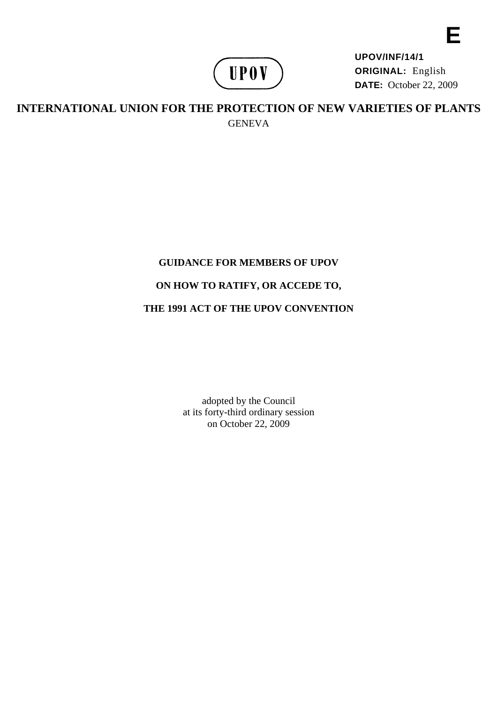

**UPOV/INF/14/1 ORIGINAL:** English **DATE:** October 22, 2009

**INTERNATIONAL UNION FOR THE PROTECTION OF NEW VARIETIES OF PLANTS GENEVA** 

# **GUIDANCE FOR MEMBERS OF UPOV**

# **ON HOW TO RATIFY, OR ACCEDE TO,**

# **THE 1991 ACT OF THE UPOV CONVENTION**

adopted by the Council at its forty-third ordinary session on October 22, 2009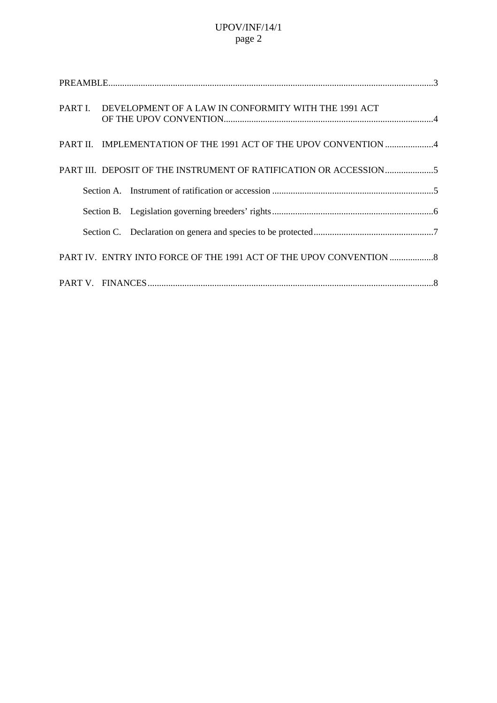|                                                                  | PART I. DEVELOPMENT OF A LAW IN CONFORMITY WITH THE 1991 ACT     |  |  |  |
|------------------------------------------------------------------|------------------------------------------------------------------|--|--|--|
|                                                                  | PART II. IMPLEMENTATION OF THE 1991 ACT OF THE UPOV CONVENTION 4 |  |  |  |
|                                                                  | PART III. DEPOSIT OF THE INSTRUMENT OF RATIFICATION OR ACCESSION |  |  |  |
|                                                                  |                                                                  |  |  |  |
|                                                                  |                                                                  |  |  |  |
|                                                                  |                                                                  |  |  |  |
| PART IV. ENTRY INTO FORCE OF THE 1991 ACT OF THE UPOV CONVENTION |                                                                  |  |  |  |
|                                                                  |                                                                  |  |  |  |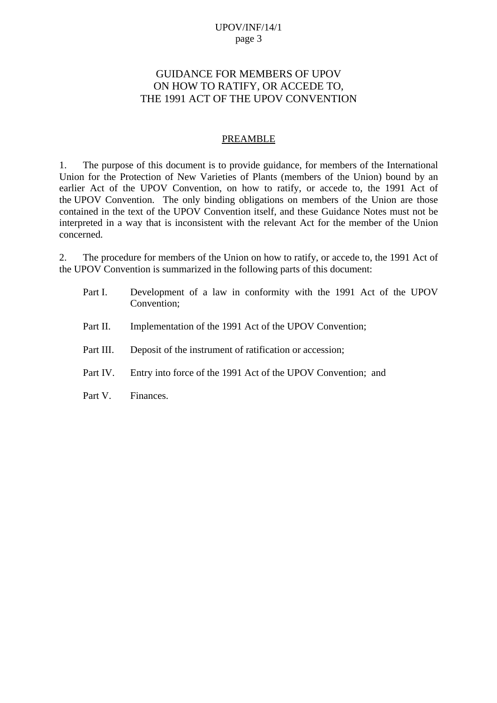# <span id="page-2-0"></span>GUIDANCE FOR MEMBERS OF UPOV ON HOW TO RATIFY, OR ACCEDE TO, THE 1991 ACT OF THE UPOV CONVENTION

#### **PREAMBLE**

1. The purpose of this document is to provide guidance, for members of the International Union for the Protection of New Varieties of Plants (members of the Union) bound by an earlier Act of the UPOV Convention, on how to ratify, or accede to, the 1991 Act of the UPOV Convention. The only binding obligations on members of the Union are those contained in the text of the UPOV Convention itself, and these Guidance Notes must not be interpreted in a way that is inconsistent with the relevant Act for the member of the Union concerned.

2. The procedure for members of the Union on how to ratify, or accede to, the 1991 Act of the UPOV Convention is summarized in the following parts of this document:

| Part I.   | Development of a law in conformity with the 1991 Act of the UPOV<br>Convention; |
|-----------|---------------------------------------------------------------------------------|
| Part II.  | Implementation of the 1991 Act of the UPOV Convention;                          |
| Part III. | Deposit of the instrument of ratification or accession;                         |
| Part IV.  | Entry into force of the 1991 Act of the UPOV Convention; and                    |
| Part V.   | Finances.                                                                       |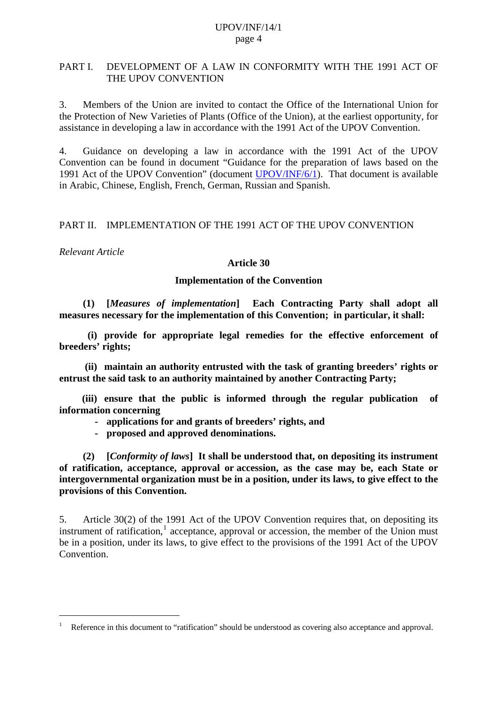#### <span id="page-3-0"></span>PART I. DEVELOPMENT OF A LAW IN CONFORMITY WITH THE 1991 ACT OF THE UPOV CONVENTION

3. Members of the Union are invited to contact the Office of the International Union for the Protection of New Varieties of Plants (Office of the Union), at the earliest opportunity, for assistance in developing a law in accordance with the 1991 Act of the UPOV Convention.

4. Guidance on developing a law in accordance with the 1991 Act of the UPOV Convention can be found in document "Guidance for the preparation of laws based on the 1991 Act of the UPOV Convention" (document [UPOV/INF/6/1\)](http://www.upov.int/en/publications/pdf/upov_inf_6_1.pdf). That document is available in Arabic, Chinese, English, French, German, Russian and Spanish.

## PART II. IMPLEMENTATION OF THE 1991 ACT OF THE UPOV CONVENTION

*Relevant Article* 

 $\overline{a}$ 

#### **Article 30**

## **Implementation of the Convention**

 **(1) [***Measures of implementation***] Each Contracting Party shall adopt all measures necessary for the implementation of this Convention; in particular, it shall:** 

 **(i) provide for appropriate legal remedies for the effective enforcement of breeders' rights;** 

 **(ii) maintain an authority entrusted with the task of granting breeders' rights or entrust the said task to an authority maintained by another Contracting Party;** 

 **(iii) ensure that the public is informed through the regular publication of information concerning** 

- **applications for and grants of breeders' rights, and**
- **proposed and approved denominations.**

 **(2) [***Conformity of laws***] It shall be understood that, on depositing its instrument of ratification, acceptance, approval or accession, as the case may be, each State or intergovernmental organization must be in a position, under its laws, to give effect to the provisions of this Convention.** 

5. Article 30(2) of the 1991 Act of the UPOV Convention requires that, on depositing its instrument of ratification, $<sup>1</sup>$  $<sup>1</sup>$  $<sup>1</sup>$  acceptance, approval or accession, the member of the Union must</sup> be in a position, under its laws, to give effect to the provisions of the 1991 Act of the UPOV **Convention** 

<span id="page-3-1"></span><sup>1</sup> Reference in this document to "ratification" should be understood as covering also acceptance and approval.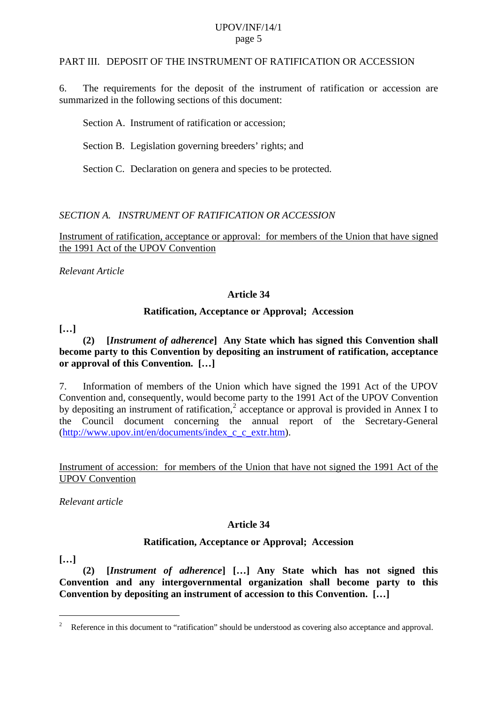#### <span id="page-4-0"></span>PART III. DEPOSIT OF THE INSTRUMENT OF RATIFICATION OR ACCESSION

6. The requirements for the deposit of the instrument of ratification or accession are summarized in the following sections of this document:

Section A. Instrument of ratification or accession;

Section B. Legislation governing breeders' rights; and

Section C. Declaration on genera and species to be protected.

#### *SECTION A. INSTRUMENT OF RATIFICATION OR ACCESSION*

Instrument of ratification, acceptance or approval: for members of the Union that have signed the 1991 Act of the UPOV Convention

*Relevant Article* 

#### **Article 34**

#### **Ratification, Acceptance or Approval; Accession**

**[…]** 

#### **(2) [***Instrument of adherence***] Any State which has signed this Convention shall become party to this Convention by depositing an instrument of ratification, acceptance or approval of this Convention. […]**

7. Information of members of the Union which have signed the 1991 Act of the UPOV Convention and, consequently, would become party to the 1991 Act of the UPOV Convention by depositing an instrument of ratification,<sup>[2](#page-4-1)</sup> acceptance or approval is provided in Annex I to the Council document concerning the annual report of the Secretary-General ([http://www.upov.int/en/documents/index\\_c\\_c\\_extr.htm](http://www.upov.int/en/documents/index_c_c_extr.htm)).

## Instrument of accession: for members of the Union that have not signed the 1991 Act of the UPOV Convention

*Relevant article* 

#### **Article 34**

#### **Ratification, Acceptance or Approval; Accession**

**[…]** 

 $\overline{a}$ 

 **(2) [***Instrument of adherence***] […] Any State which has not signed this Convention and any intergovernmental organization shall become party to this Convention by depositing an instrument of accession to this Convention. […]** 

<span id="page-4-1"></span><sup>&</sup>lt;sup>2</sup> Reference in this document to "ratification" should be understood as covering also acceptance and approval.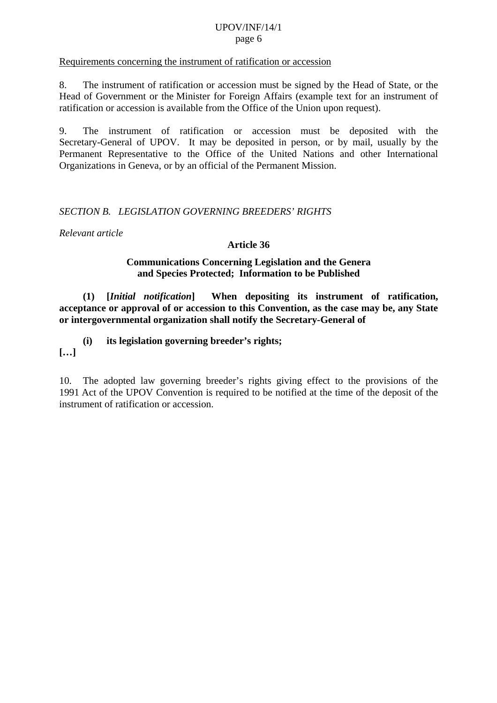#### <span id="page-5-0"></span>Requirements concerning the instrument of ratification or accession

8. The instrument of ratification or accession must be signed by the Head of State, or the Head of Government or the Minister for Foreign Affairs (example text for an instrument of ratification or accession is available from the Office of the Union upon request).

9. The instrument of ratification or accession must be deposited with the Secretary-General of UPOV. It may be deposited in person, or by mail, usually by the Permanent Representative to the Office of the United Nations and other International Organizations in Geneva, or by an official of the Permanent Mission.

#### *SECTION B. LEGISLATION GOVERNING BREEDERS' RIGHTS*

*Relevant article* 

#### **Article 36**

#### **Communications Concerning Legislation and the Genera and Species Protected; Information to be Published**

 **(1) [***Initial notification***] When depositing its instrument of ratification, acceptance or approval of or accession to this Convention, as the case may be, any State or intergovernmental organization shall notify the Secretary-General of** 

 **(i) its legislation governing breeder's rights;** 

**[…]** 

10. The adopted law governing breeder's rights giving effect to the provisions of the 1991 Act of the UPOV Convention is required to be notified at the time of the deposit of the instrument of ratification or accession.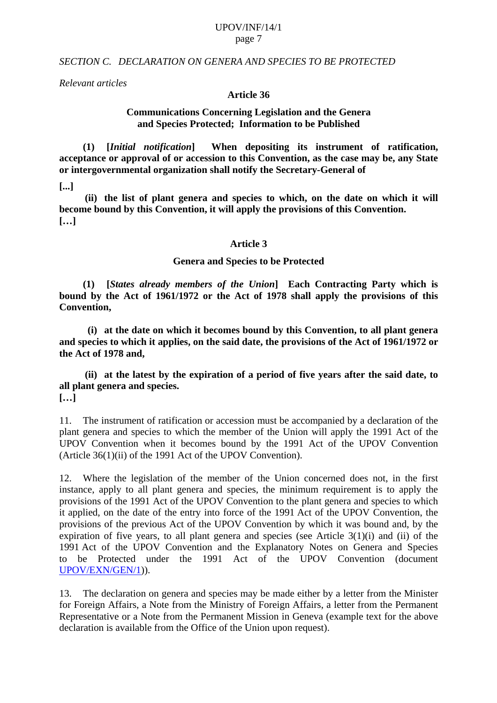#### <span id="page-6-0"></span>*SECTION C. DECLARATION ON GENERA AND SPECIES TO BE PROTECTED*

*Relevant articles* 

#### **Article 36**

#### **Communications Concerning Legislation and the Genera and Species Protected; Information to be Published**

 **(1) [***Initial notification***] When depositing its instrument of ratification, acceptance or approval of or accession to this Convention, as the case may be, any State or intergovernmental organization shall notify the Secretary-General of** 

**[...]** 

 **(ii) the list of plant genera and species to which, on the date on which it will become bound by this Convention, it will apply the provisions of this Convention. […]** 

#### **Article 3**

#### **Genera and Species to be Protected**

 **(1) [***States already members of the Union***] Each Contracting Party which is bound by the Act of 1961/1972 or the Act of 1978 shall apply the provisions of this Convention,** 

 **(i) at the date on which it becomes bound by this Convention, to all plant genera and species to which it applies, on the said date, the provisions of the Act of 1961/1972 or the Act of 1978 and,** 

 **(ii) at the latest by the expiration of a period of five years after the said date, to all plant genera and species. […]**

11. The instrument of ratification or accession must be accompanied by a declaration of the plant genera and species to which the member of the Union will apply the 1991 Act of the UPOV Convention when it becomes bound by the 1991 Act of the UPOV Convention (Article 36(1)(ii) of the 1991 Act of the UPOV Convention).

12. Where the legislation of the member of the Union concerned does not, in the first instance, apply to all plant genera and species, the minimum requirement is to apply the provisions of the 1991 Act of the UPOV Convention to the plant genera and species to which it applied, on the date of the entry into force of the 1991 Act of the UPOV Convention, the provisions of the previous Act of the UPOV Convention by which it was bound and, by the expiration of five years, to all plant genera and species (see Article  $3(1)(i)$ ) and (ii) of the 1991 Act of the UPOV Convention and the Explanatory Notes on Genera and Species to be Protected under the 1991 Act of the UPOV Convention (document [UPOV/EXN/GEN/1\)](http://www.upov.int/en/publications/pdf/upov_exn_gen_1.pdf)).

13. The declaration on genera and species may be made either by a letter from the Minister for Foreign Affairs, a Note from the Ministry of Foreign Affairs, a letter from the Permanent Representative or a Note from the Permanent Mission in Geneva (example text for the above declaration is available from the Office of the Union upon request).